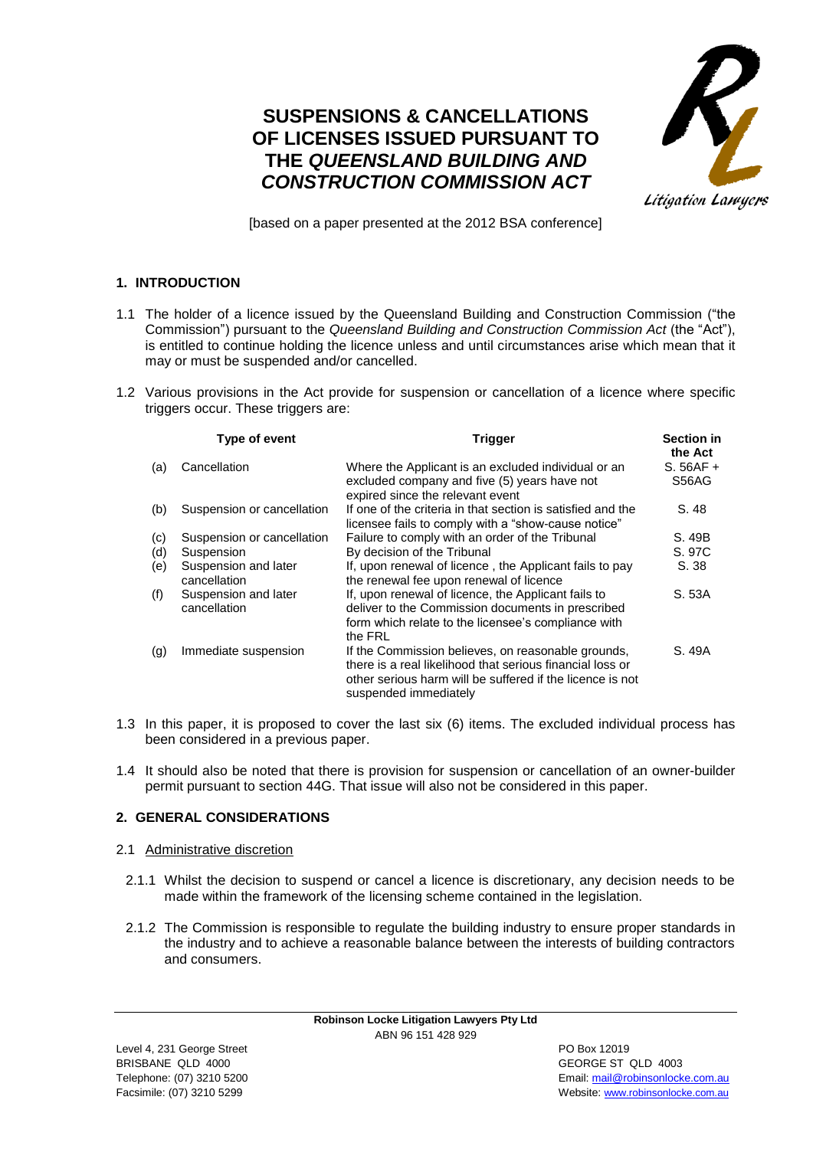# **SUSPENSIONS & CANCELLATIONS OF LICENSES ISSUED PURSUANT TO THE** *QUEENSLAND BUILDING AND CONSTRUCTION COMMISSION ACT*



[based on a paper presented at the 2012 BSA conference]

# **1. INTRODUCTION**

- 1.1 The holder of a licence issued by the Queensland Building and Construction Commission ("the Commission") pursuant to the *Queensland Building and Construction Commission Act* (the "Act"), is entitled to continue holding the licence unless and until circumstances arise which mean that it may or must be suspended and/or cancelled.
- 1.2 Various provisions in the Act provide for suspension or cancellation of a licence where specific triggers occur. These triggers are:

|     | Type of event                        | <b>Trigger</b>                                                                                                                                                                                        | <b>Section in</b><br>the Act |
|-----|--------------------------------------|-------------------------------------------------------------------------------------------------------------------------------------------------------------------------------------------------------|------------------------------|
| (a) | Cancellation                         | Where the Applicant is an excluded individual or an<br>excluded company and five (5) years have not<br>expired since the relevant event                                                               | $S.56AF +$<br>S56AG          |
| (b) | Suspension or cancellation           | If one of the criteria in that section is satisfied and the<br>licensee fails to comply with a "show-cause notice"                                                                                    | S. 48                        |
| (c) | Suspension or cancellation           | Failure to comply with an order of the Tribunal                                                                                                                                                       | S. 49B                       |
| (d) | Suspension                           | By decision of the Tribunal                                                                                                                                                                           | S. 97C                       |
| (e) | Suspension and later<br>cancellation | If, upon renewal of licence, the Applicant fails to pay<br>the renewal fee upon renewal of licence                                                                                                    | S. 38                        |
| (f) | Suspension and later<br>cancellation | If, upon renewal of licence, the Applicant fails to<br>deliver to the Commission documents in prescribed<br>form which relate to the licensee's compliance with<br>the FRL                            | S. 53A                       |
| (q) | Immediate suspension                 | If the Commission believes, on reasonable grounds,<br>there is a real likelihood that serious financial loss or<br>other serious harm will be suffered if the licence is not<br>suspended immediately | S. 49A                       |

- 1.3 In this paper, it is proposed to cover the last six (6) items. The excluded individual process has been considered in a previous paper.
- 1.4 It should also be noted that there is provision for suspension or cancellation of an owner-builder permit pursuant to section 44G. That issue will also not be considered in this paper.

# **2. GENERAL CONSIDERATIONS**

# 2.1 Administrative discretion

- 2.1.1 Whilst the decision to suspend or cancel a licence is discretionary, any decision needs to be made within the framework of the licensing scheme contained in the legislation.
- 2.1.2 The Commission is responsible to regulate the building industry to ensure proper standards in the industry and to achieve a reasonable balance between the interests of building contractors and consumers.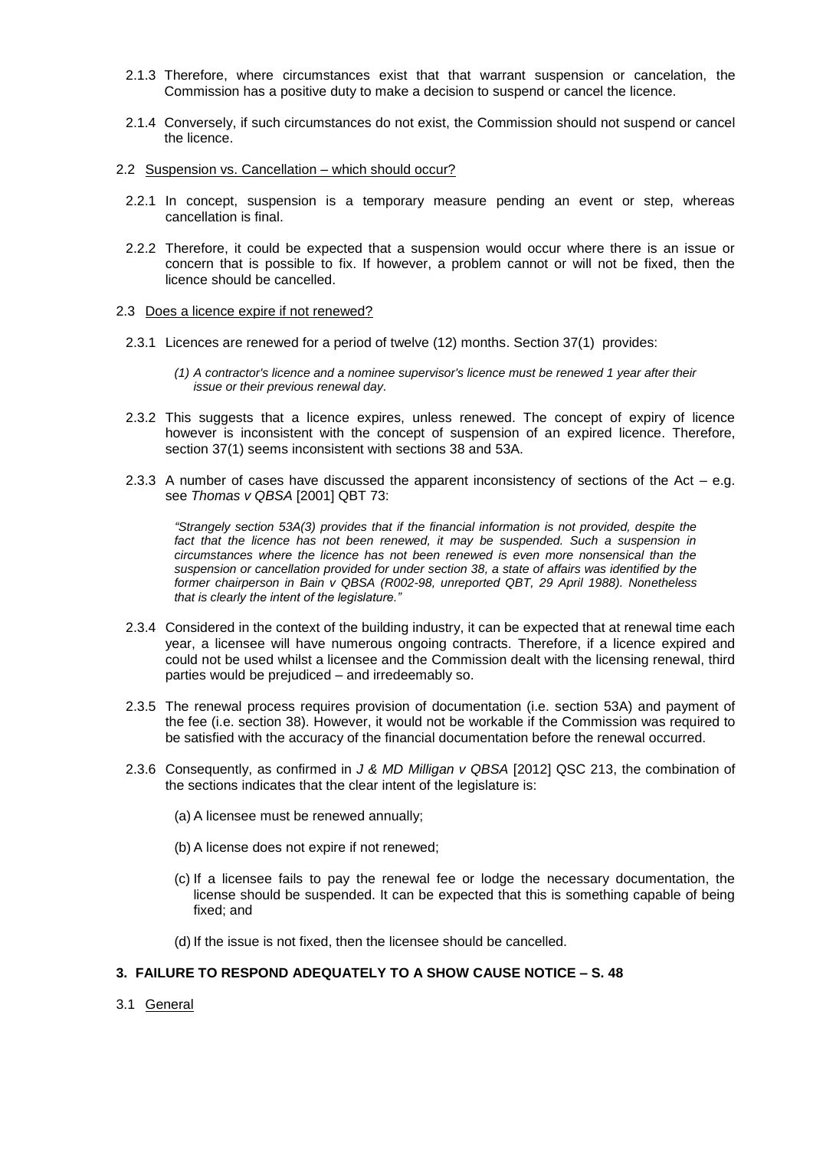- 2.1.3 Therefore, where circumstances exist that that warrant suspension or cancelation, the Commission has a positive duty to make a decision to suspend or cancel the licence.
- 2.1.4 Conversely, if such circumstances do not exist, the Commission should not suspend or cancel the licence.
- 2.2 Suspension vs. Cancellation which should occur?
	- 2.2.1 In concept, suspension is a temporary measure pending an event or step, whereas cancellation is final.
	- 2.2.2 Therefore, it could be expected that a suspension would occur where there is an issue or concern that is possible to fix. If however, a problem cannot or will not be fixed, then the licence should be cancelled.
- 2.3 Does a licence expire if not renewed?
	- 2.3.1 Licences are renewed for a period of twelve (12) months. Section 37(1) provides:
		- *(1) A contractor's licence and a nominee supervisor's licence must be renewed 1 year after their issue or their previous renewal day.*
	- 2.3.2 This suggests that a licence expires, unless renewed. The concept of expiry of licence however is inconsistent with the concept of suspension of an expired licence. Therefore, section 37(1) seems inconsistent with sections 38 and 53A.
	- 2.3.3 A number of cases have discussed the apparent inconsistency of sections of the Act  $-$  e.g. see *Thomas v QBSA* [2001] QBT 73:

*"Strangely [section 53A\(3\)](http://www.austlii.edu.au/au/legis/qld/consol_act/qbsaa1991413/s53a.html) provides that if the financial information is not provided, despite the*  fact that the licence has not been renewed, it may be suspended. Such a suspension in *circumstances where the licence has not been renewed is even more nonsensical than the suspension or cancellation provided for under [section 38,](http://www.austlii.edu.au/au/legis/qld/consol_act/qbsaa1991413/s38.html) a state of affairs was identified by the former chairperson in Bain v QBSA (R002-98, unreported QBT, 29 April 1988). Nonetheless that is clearly the intent of the legislature."*

- 2.3.4 Considered in the context of the building industry, it can be expected that at renewal time each year, a licensee will have numerous ongoing contracts. Therefore, if a licence expired and could not be used whilst a licensee and the Commission dealt with the licensing renewal, third parties would be prejudiced – and irredeemably so.
- 2.3.5 The renewal process requires provision of documentation (i.e. section 53A) and payment of the fee (i.e. section 38). However, it would not be workable if the Commission was required to be satisfied with the accuracy of the financial documentation before the renewal occurred.
- 2.3.6 Consequently, as confirmed in *J & MD Milligan v QBSA* [2012] QSC 213, the combination of the sections indicates that the clear intent of the legislature is:
	- (a) A licensee must be renewed annually;
	- (b) A license does not expire if not renewed;
	- (c) If a licensee fails to pay the renewal fee or lodge the necessary documentation, the license should be suspended. It can be expected that this is something capable of being fixed; and
	- (d) If the issue is not fixed, then the licensee should be cancelled.

#### **3. FAILURE TO RESPOND ADEQUATELY TO A SHOW CAUSE NOTICE – S. 48**

3.1 General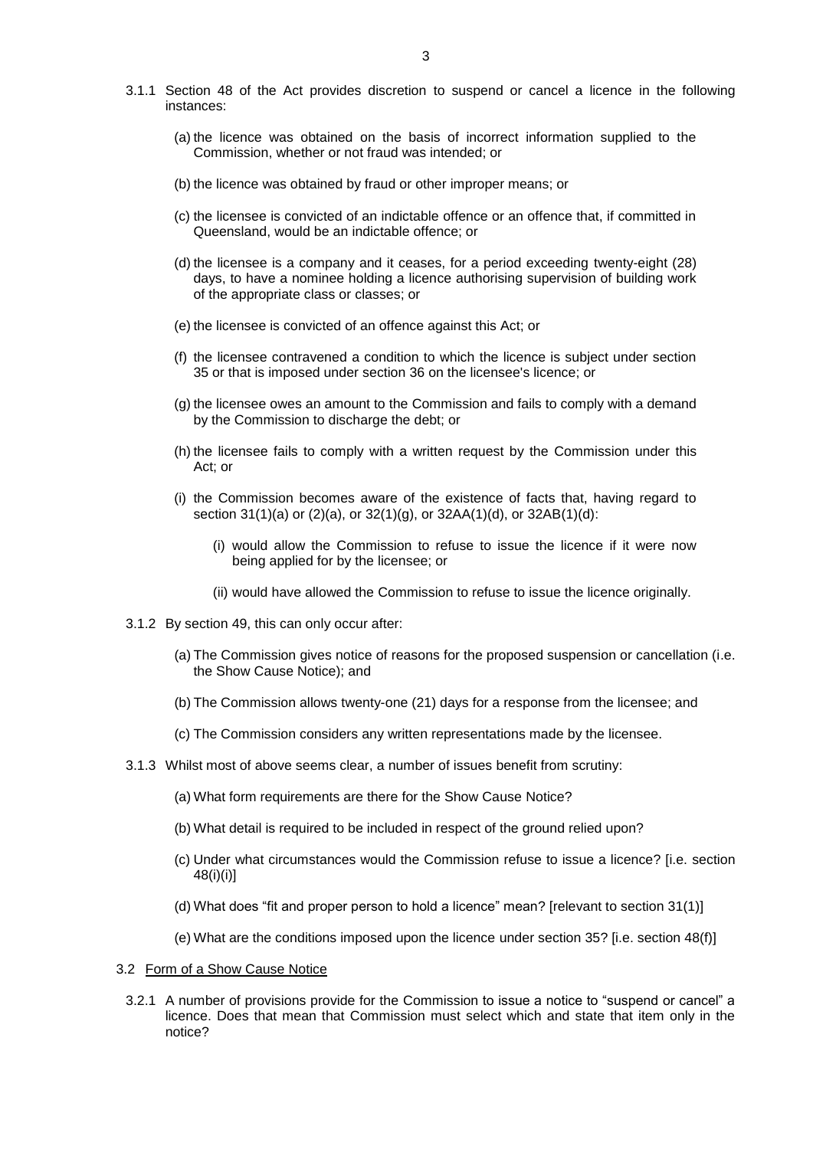- 3.1.1 Section 48 of the Act provides discretion to suspend or cancel a licence in the following instances:
	- (a) the licence was obtained on the basis of incorrect information supplied to the Commission, whether or not fraud was intended; or
	- (b) the licence was obtained by fraud or other improper means; or
	- (c) the licensee is convicted of an indictable offence or an offence that, if committed in Queensland, would be an indictable offence; or
	- (d) the licensee is a company and it ceases, for a period exceeding twenty-eight (28) days, to have a nominee holding a licence authorising supervision of building work of the appropriate class or classes; or
	- (e) the licensee is convicted of an offence against this Act; or
	- (f) the licensee contravened a condition to which the licence is subject under section 35 or that is imposed under section 36 on the licensee's licence; or
	- (g) the licensee owes an amount to the Commission and fails to comply with a demand by the Commission to discharge the debt; or
	- (h) the licensee fails to comply with a written request by the Commission under this Act; or
	- (i) the Commission becomes aware of the existence of facts that, having regard to section 31(1)(a) or (2)(a), or 32(1)(g), or 32AA(1)(d), or 32AB(1)(d):
		- (i) would allow the Commission to refuse to issue the licence if it were now being applied for by the licensee; or
		- (ii) would have allowed the Commission to refuse to issue the licence originally.
- 3.1.2 By section 49, this can only occur after:
	- (a) The Commission gives notice of reasons for the proposed suspension or cancellation (i.e. the Show Cause Notice); and
	- (b) The Commission allows twenty-one (21) days for a response from the licensee; and
	- (c) The Commission considers any written representations made by the licensee.
- 3.1.3 Whilst most of above seems clear, a number of issues benefit from scrutiny:
	- (a) What form requirements are there for the Show Cause Notice?
	- (b) What detail is required to be included in respect of the ground relied upon?
	- (c) Under what circumstances would the Commission refuse to issue a licence? [i.e. section 48(i)(i)]
	- (d) What does "fit and proper person to hold a licence" mean? [relevant to section 31(1)]
	- (e) What are the conditions imposed upon the licence under section 35? [i.e. section 48(f)]

## 3.2 Form of a Show Cause Notice

3.2.1 A number of provisions provide for the Commission to issue a notice to "suspend or cancel" a licence. Does that mean that Commission must select which and state that item only in the notice?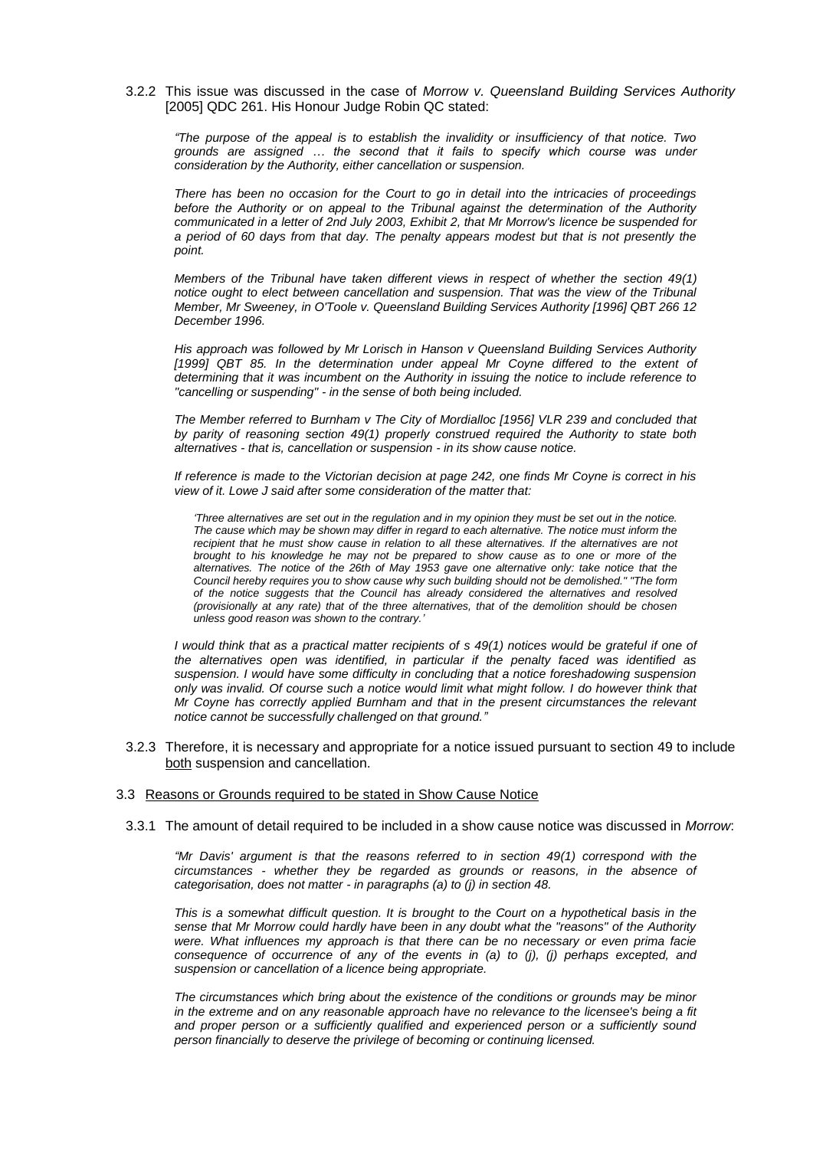3.2.2 This issue was discussed in the case of *Morrow v. Queensland Building Services Authority* [2005] QDC 261. His Honour Judge Robin QC stated:

*"The purpose of the appeal is to establish the invalidity or insufficiency of that notice. Two grounds are assigned … the second that it fails to specify which course was under consideration by the Authority, either cancellation or suspension.*

*There has been no occasion for the Court to go in detail into the intricacies of proceedings before the Authority or on appeal to the Tribunal against the determination of the Authority communicated in a letter of 2nd July 2003, Exhibit 2, that Mr Morrow's licence be suspended for a period of 60 days from that day. The penalty appears modest but that is not presently the point.* 

*Members of the Tribunal have taken different views in respect of whether the [section 49\(](http://www.austlii.edu.au/au/legis/qld/consol_act/qbsaa1991413/s49.html?stem=0&synonyms=0&query=qbsaa1991413%20s35)1)*  notice ought to elect between cancellation and suspension. That was the view of the Tribunal *Member, Mr Sweeney, in O'Toole v. Queensland Building Services Authority [1996] QBT 266 12 December 1996.* 

*His approach was followed by Mr Lorisch in Hanson v Queensland Building Services Authority [1999] QBT 85. In the determination under appeal Mr Coyne differed to the extent of determining that it was incumbent on the Authority in issuing the notice to include reference to "cancelling or suspending" - in the sense of both being included.* 

*The Member referred to Burnham v The City of Mordialloc [1956] VLR 239 and concluded that by parity of reasoning [section 49\(](http://www.austlii.edu.au/au/legis/qld/consol_act/qbsaa1991413/s49.html?stem=0&synonyms=0&query=qbsaa1991413%20s35)1) properly construed required the Authority to state both alternatives - that is, cancellation or suspension - in its show cause notice.*

*If reference is made to the Victorian decision at page 242, one finds Mr Coyne is correct in his view of it. Lowe J said after some consideration of the matter that:*

*'Three alternatives are set out in the regulation and in my opinion they must be set out in the notice. The cause which may be shown may differ in regard to each alternative. The notice must inform the*  recipient that he must show cause in relation to all these alternatives. If the alternatives are not *brought to his knowledge he may not be prepared to show cause as to one or more of the alternatives. The notice of the 26th of May 1953 gave one alternative only: take notice that the Council hereby requires you to show cause why such building should not be demolished." "The form of the notice suggests that the Council has already considered the alternatives and resolved (provisionally at any rate) that of the three alternatives, that of the demolition should be chosen unless good reason was shown to the contrary.'*

*I would think that as a practical matter recipients of [s 49\(](http://www.austlii.edu.au/au/legis/qld/consol_act/qbsaa1991413/s49.html?stem=0&synonyms=0&query=qbsaa1991413%20s35)1) notices would be grateful if one of the alternatives open was identified, in particular if the penalty faced was identified as suspension. I would have some difficulty in concluding that a notice foreshadowing suspension only was invalid. Of course such a notice would limit what might follow. I do however think that Mr Coyne has correctly applied Burnham and that in the present circumstances the relevant notice cannot be successfully challenged on that ground."*

3.2.3 Therefore, it is necessary and appropriate for a notice issued pursuant to section 49 to include both suspension and cancellation.

## 3.3 Reasons or Grounds required to be stated in Show Cause Notice

3.3.1 The amount of detail required to be included in a show cause notice was discussed in *Morrow*:

*"Mr Davis' argument is that the reasons referred to in [section 49\(](http://www.austlii.edu.au/au/legis/qld/consol_act/qbsaa1991413/s49.html?stem=0&synonyms=0&query=qbsaa1991413%20s35)1) correspond with the circumstances - whether they be regarded as grounds or reasons, in the absence of categorisation, does not matter - in paragraphs (a) to (j) in [section 48.](http://www.austlii.edu.au/au/legis/qld/consol_act/qbsaa1991413/s48.html)*

*This is a somewhat difficult question. It is brought to the Court on a hypothetical basis in the sense that Mr Morrow could hardly have been in any doubt what the "reasons" of the Authority were. What influences my approach is that there can be no necessary or even prima facie consequence of occurrence of any of the events in (a) to (j), (j) perhaps excepted, and suspension or cancellation of a licence being appropriate.* 

*The circumstances which bring about the existence of the conditions or grounds may be minor in the extreme and on any reasonable approach have no relevance to the licensee's being a fit*  and proper person or a sufficiently qualified and experienced person or a sufficiently sound *person financially to deserve the privilege of becoming or continuing licensed.*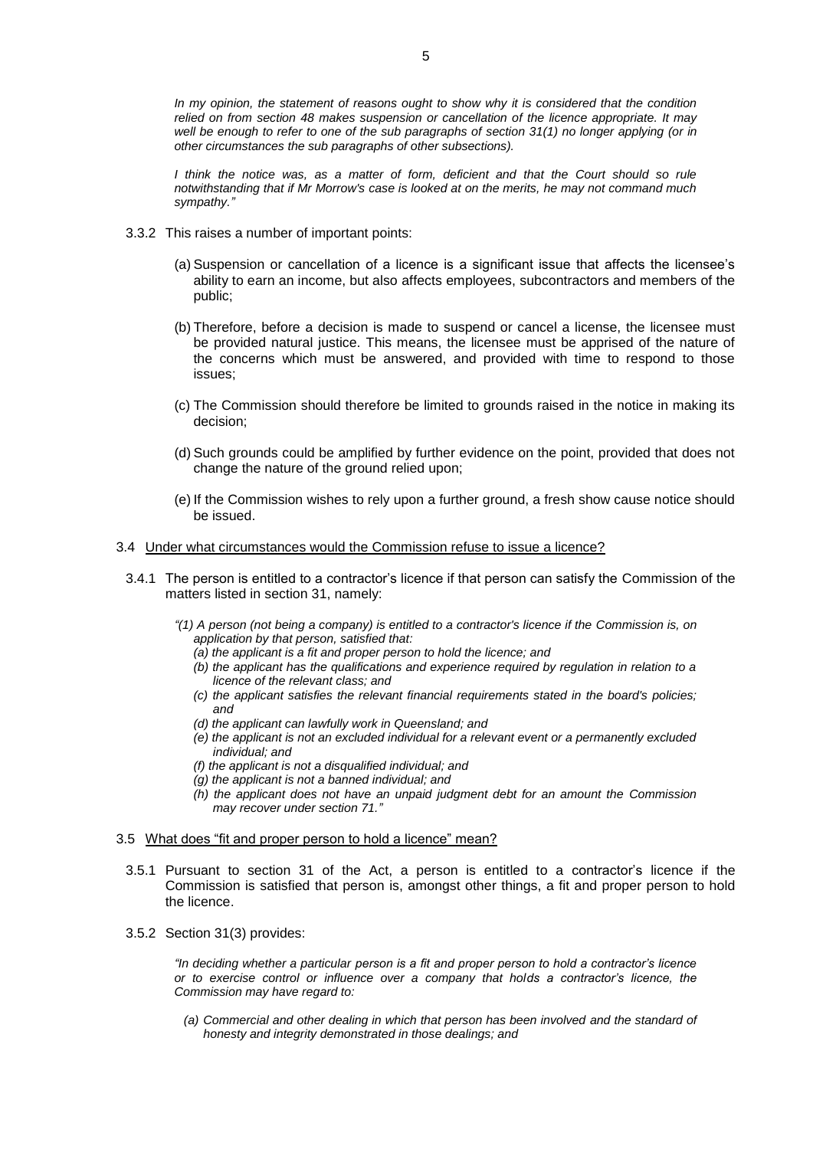*In my opinion, the statement of reasons ought to show why it is considered that the condition relied on from [section 48](http://www.austlii.edu.au/au/legis/qld/consol_act/qbsaa1991413/s48.html?stem=0&synonyms=0&query=qbsaa1991413%20s35) makes suspension or cancellation of the licence appropriate. It may well be enough to refer to one of the sub paragraphs of [section 31\(](http://www.austlii.edu.au/au/legis/qld/consol_act/qbsaa1991413/s31.html?stem=0&synonyms=0&query=qbsaa1991413%20s35)1) no longer applying (or in other circumstances the sub paragraphs of other subsections).*

*I think the notice was, as a matter of form, deficient and that the Court should so rule notwithstanding that if Mr Morrow's case is looked at on the merits, he may not command much sympathy."*

- 3.3.2 This raises a number of important points:
	- (a) Suspension or cancellation of a licence is a significant issue that affects the licensee's ability to earn an income, but also affects employees, subcontractors and members of the public;
	- (b) Therefore, before a decision is made to suspend or cancel a license, the licensee must be provided natural justice. This means, the licensee must be apprised of the nature of the concerns which must be answered, and provided with time to respond to those issues;
	- (c) The Commission should therefore be limited to grounds raised in the notice in making its decision;
	- (d) Such grounds could be amplified by further evidence on the point, provided that does not change the nature of the ground relied upon;
	- (e) If the Commission wishes to rely upon a further ground, a fresh show cause notice should be issued.
- 3.4 Under what circumstances would the Commission refuse to issue a licence?
- 3.4.1 The person is entitled to a contractor's licence if that person can satisfy the Commission of the matters listed in section 31, namely:
	- *"(1) A person (not being a company) is entitled to a contractor's licence if the Commission is, on application by that person, satisfied that:*
		- *(a) the applicant is a fit and proper person to hold the licence; and*
		- *(b) the applicant has the qualifications and experience required by regulation in relation to a licence of the relevant class; and*
		- *(c) the applicant satisfies the relevant financial requirements stated in the board's policies; and*
		- *(d) the applicant can lawfully work in Queensland; and*
		- *(e) the applicant is not an excluded individual for a relevant event or a permanently excluded individual; and*
		- *(f) the applicant is not a disqualified individual; and*
		- *(g) the applicant is not a banned individual; and*
		- *(h) the applicant does not have an unpaid judgment debt for an amount the Commission may recover under section 71."*

#### 3.5 What does "fit and proper person to hold a licence" mean?

- 3.5.1 Pursuant to section 31 of the Act, a person is entitled to a contractor's licence if the Commission is satisfied that person is, amongst other things, a fit and proper person to hold the licence.
- 3.5.2 Section 31(3) provides:

*"In deciding whether a particular person is a fit and proper person to hold a contractor's licence or to exercise control or influence over a company that holds a contractor's licence, the Commission may have regard to:*

*(a) Commercial and other dealing in which that person has been involved and the standard of honesty and integrity demonstrated in those dealings; and*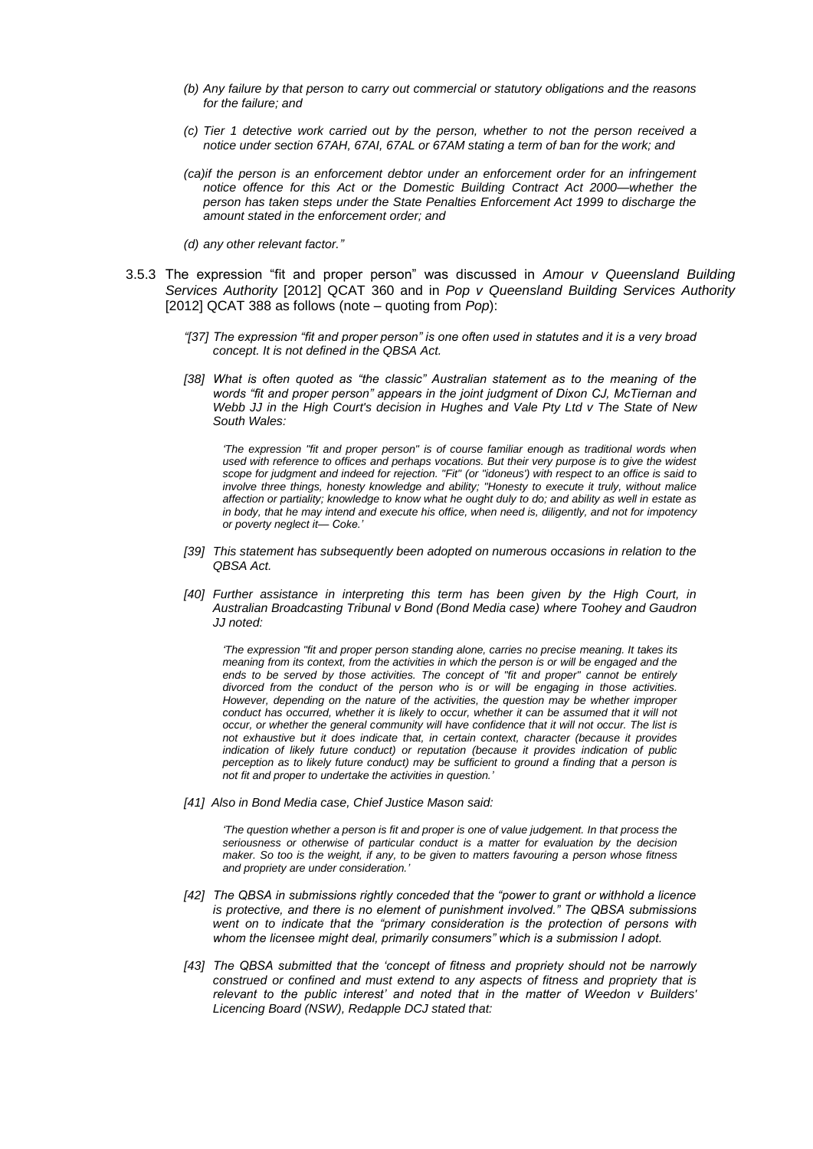- *(b) Any failure by that person to carry out commercial or statutory obligations and the reasons for the failure; and*
- *(c) Tier 1 detective work carried out by the person, whether to not the person received a notice under section 67AH, 67AI, 67AL or 67AM stating a term of ban for the work; and*
- *(ca)if the person is an enforcement debtor under an enforcement order for an infringement notice offence for this Act or the Domestic Building Contract Act 2000—whether the person has taken steps under the State Penalties Enforcement Act 1999 to discharge the amount stated in the enforcement order; and*
- *(d) any other relevant factor."*
- 3.5.3 The expression "fit and proper person" was discussed in *Amour v Queensland Building Services Authority* [2012] QCAT 360 and in *Pop v Queensland Building Services Authority* [2012] QCAT 388 as follows (note – quoting from *Pop*):
	- *"[37] The expression "fit and proper person" is one often used in statutes and it is a very broad concept. It is not defined in the QBSA Act.*
	- *[38] What is often quoted as "the classic" Australian statement as to the meaning of the words "fit and proper person" appears in the joint judgment of Dixon CJ, McTiernan and Webb JJ in the High Court's decision in Hughes and Vale Pty Ltd v The State of New South Wales:*

*'The expression "fit and proper person" is of course familiar enough as traditional words when used with reference to offices and perhaps vocations. But their very purpose is to give the widest scope for judgment and indeed for rejection. "Fit" (or "idoneus') with respect to an office is said to involve three things, honesty knowledge and ability; "Honesty to execute it truly, without malice affection or partiality; knowledge to know what he ought duly to do; and ability as well in estate as in body, that he may intend and execute his office, when need is, diligently, and not for impotency or poverty neglect it— Coke.'*

- *[39] This statement has subsequently been adopted on numerous occasions in relation to the QBSA Act.*
- *[40] Further assistance in interpreting this term has been given by the High Court, in Australian Broadcasting Tribunal v Bond (Bond Media case) where Toohey and Gaudron JJ noted:*

*'The expression "fit and proper person standing alone, carries no precise meaning. It takes its meaning from its context, from the activities in which the person is or will be engaged and the ends to be served by those activities. The concept of "fit and proper" cannot be entirely divorced from the conduct of the person who is or will be engaging in those activities. However, depending on the nature of the activities, the question may be whether improper conduct has occurred, whether it is likely to occur, whether it can be assumed that it will not occur, or whether the general community will have confidence that it will not occur. The list is not exhaustive but it does indicate that, in certain context, character (because it provides indication of likely future conduct) or reputation (because it provides indication of public perception as to likely future conduct) may be sufficient to ground a finding that a person is not fit and proper to undertake the activities in question.'*

*[41] Also in Bond Media case, Chief Justice Mason said:*

*'The question whether a person is fit and proper is one of value judgement. In that process the seriousness or otherwise of particular conduct is a matter for evaluation by the decision maker. So too is the weight, if any, to be given to matters favouring a person whose fitness and propriety are under consideration.'*

- *[42] The QBSA in submissions rightly conceded that the "power to grant or withhold a licence is protective, and there is no element of punishment involved." The QBSA submissions went on to indicate that the "primary consideration is the protection of persons with whom the licensee might deal, primarily consumers" which is a submission I adopt.*
- *[43] The QBSA submitted that the 'concept of fitness and propriety should not be narrowly construed or confined and must extend to any aspects of fitness and propriety that is relevant to the public interest' and noted that in the matter of Weedon v Builders' Licencing Board (NSW), Redapple DCJ stated that:*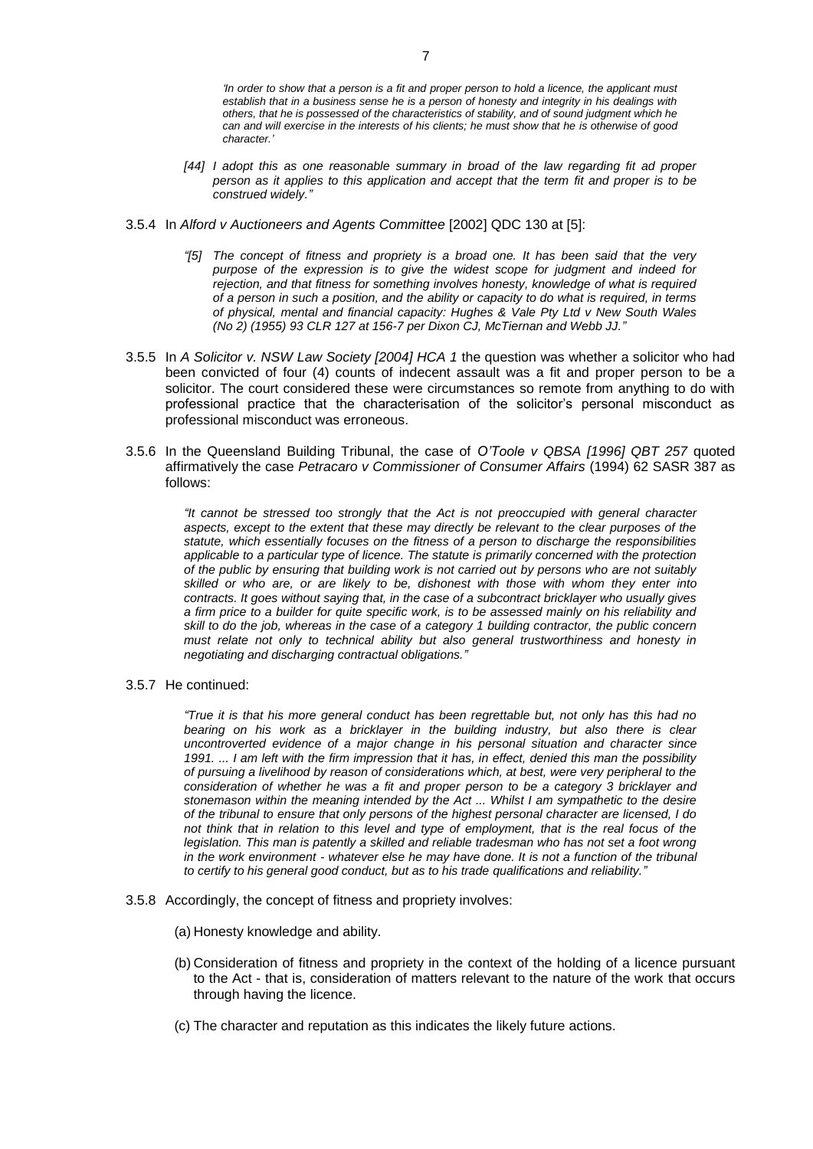*'In order to show that a person is a fit and proper person to hold a licence, the applicant must establish that in a business sense he is a person of honesty and integrity in his dealings with others, that he is possessed of the characteristics of stability, and of sound judgment which he can and will exercise in the interests of his clients; he must show that he is otherwise of good character.'*

- *[44] I adopt this as one reasonable summary in broad of the law regarding fit ad proper person as it applies to this application and accept that the term fit and proper is to be construed widely."*
- 3.5.4 In *Alford v Auctioneers and Agents Committee* [2002] QDC 130 at [5]:
	- *"[5] The concept of fitness and propriety is a broad one. It has been said that the very purpose of the expression is to give the widest scope for judgment and indeed for rejection, and that fitness for something involves honesty, knowledge of what is required of a person in such a position, and the ability or capacity to do what is required, in terms of physical, mental and financial capacity: Hughes & Vale Pty Ltd v New South Wales (No 2) (1955) [93 CLR 127](http://www.austlii.edu.au/au/cases/cth/high_ct/93clr127.html) at 156-7 per Dixon CJ, McTiernan and Webb JJ."*
- 3.5.5 In *A Solicitor v. NSW Law Society [2004] HCA 1* the question was whether a solicitor who had been convicted of four (4) counts of indecent assault was a fit and proper person to be a solicitor. The court considered these were circumstances so remote from anything to do with professional practice that the characterisation of the solicitor's personal misconduct as professional misconduct was erroneous.
- 3.5.6 In the Queensland Building Tribunal, the case of *O'Toole v QBSA [1996] QBT 257* quoted affirmatively the case *Petracaro v Commissioner of Consumer Affairs* (1994) 62 SASR 387 as follows:

*"It cannot be stressed too strongly that the Act is not preoccupied with general character aspects, except to the extent that these may directly be relevant to the clear purposes of the statute, which essentially focuses on the fitness of a person to discharge the responsibilities applicable to a particular type of licence. The statute is primarily concerned with the protection of the public by ensuring that building work is not carried out by persons who are not suitably skilled or who are, or are likely to be, dishonest with those with whom they enter into contracts. It goes without saying that, in the case of a subcontract bricklayer who usually gives a firm price to a builder for quite specific work, is to be assessed mainly on his reliability and skill to do the job, whereas in the case of a category 1 building contractor, the public concern must relate not only to technical ability but also general trustworthiness and honesty in negotiating and discharging contractual obligations."*

3.5.7 He continued:

*"True it is that his more general conduct has been regrettable but, not only has this had no*  bearing on his work as a bricklayer in the building industry, but also there is clear *uncontroverted evidence of a major change in his personal situation and character since 1991. ... I am left with the firm impression that it has, in effect, denied this man the possibility of pursuing a livelihood by reason of considerations which, at best, were very peripheral to the consideration of whether he was a fit and proper person to be a category 3 bricklayer and stonemason within the meaning intended by the Act ... Whilst I am sympathetic to the desire of the tribunal to ensure that only persons of the highest personal character are licensed, I do not think that in relation to this level and type of employment, that is the real focus of the*  legislation. This man is patently a skilled and reliable tradesman who has not set a foot wrong *in the work environment - whatever else he may have done. It is not a function of the tribunal to certify to his general good conduct, but as to his trade qualifications and reliability."*

- 3.5.8 Accordingly, the concept of fitness and propriety involves:
	- (a) Honesty knowledge and ability.
	- (b) Consideration of fitness and propriety in the context of the holding of a licence pursuant to the Act - that is, consideration of matters relevant to the nature of the work that occurs through having the licence.
	- (c) The character and reputation as this indicates the likely future actions.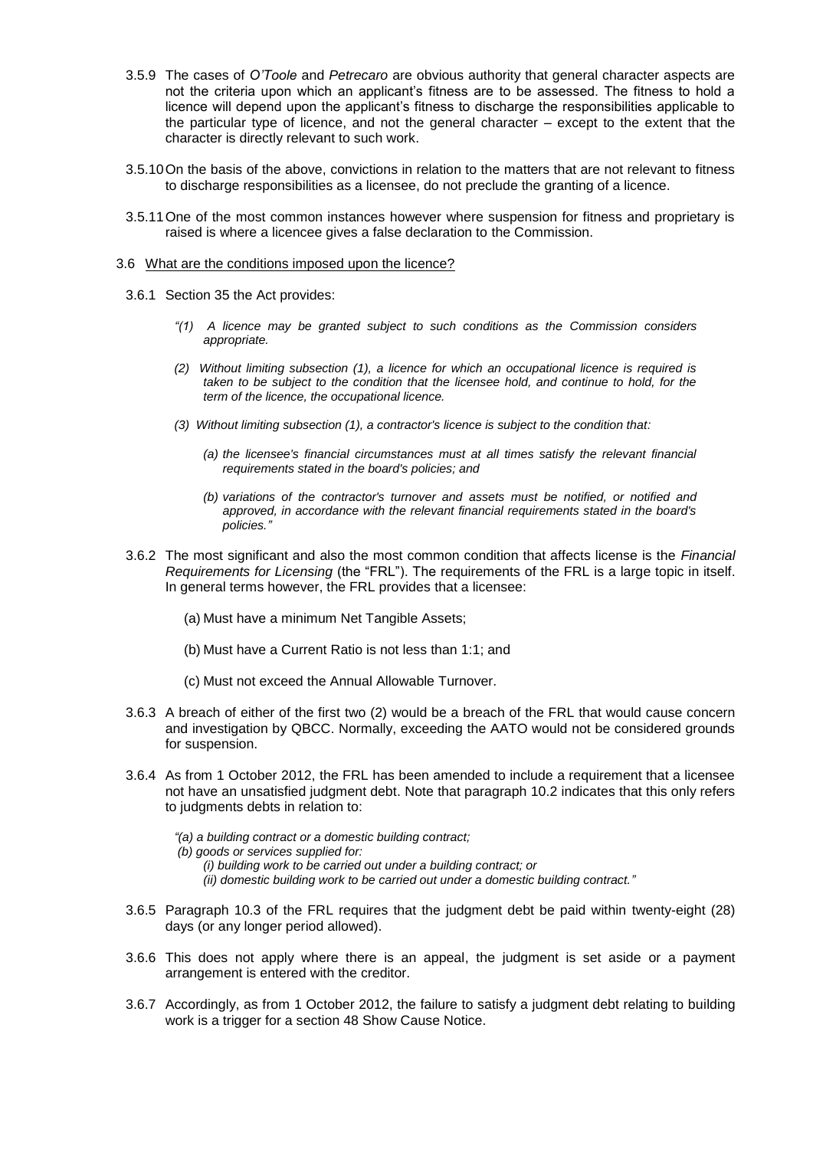- 3.5.9 The cases of *O'Toole* and *Petrecaro* are obvious authority that general character aspects are not the criteria upon which an applicant's fitness are to be assessed. The fitness to hold a licence will depend upon the applicant's fitness to discharge the responsibilities applicable to the particular type of licence, and not the general character – except to the extent that the character is directly relevant to such work.
- 3.5.10On the basis of the above, convictions in relation to the matters that are not relevant to fitness to discharge responsibilities as a licensee, do not preclude the granting of a licence.
- 3.5.11One of the most common instances however where suspension for fitness and proprietary is raised is where a licencee gives a false declaration to the Commission.

#### 3.6 What are the conditions imposed upon the licence?

- 3.6.1 Section 35 the Act provides:
	- *"(1) A licence may be granted subject to such conditions as the Commission considers appropriate.*
	- *(2) Without limiting subsection (1), a licence for which an occupational licence is required is taken to be subject to the condition that the licensee hold, and continue to hold, for the term of the licence, the occupational licence.*
	- *(3) Without limiting subsection (1), a contractor's licence is subject to the condition that:*
		- *(a) the licensee's financial circumstances must at all times satisfy the relevant financial requirements stated in the board's policies; and*
		- *(b) variations of the contractor's turnover and assets must be notified, or notified and approved, in accordance with the relevant financial requirements stated in the board's policies."*
- 3.6.2 The most significant and also the most common condition that affects license is the *Financial Requirements for Licensing* (the "FRL"). The requirements of the FRL is a large topic in itself. In general terms however, the FRL provides that a licensee:
	- (a) Must have a minimum Net Tangible Assets;
	- (b) Must have a Current Ratio is not less than 1:1; and
	- (c) Must not exceed the Annual Allowable Turnover.
- 3.6.3 A breach of either of the first two (2) would be a breach of the FRL that would cause concern and investigation by QBCC. Normally, exceeding the AATO would not be considered grounds for suspension.
- 3.6.4 As from 1 October 2012, the FRL has been amended to include a requirement that a licensee not have an unsatisfied judgment debt. Note that paragraph 10.2 indicates that this only refers to judgments debts in relation to:
	- *"(a) a building contract or a domestic building contract;*
	- *(b) goods or services supplied for:*
		- *(i) building work to be carried out under a building contract; or*
		- *(ii) domestic building work to be carried out under a domestic building contract."*
- 3.6.5 Paragraph 10.3 of the FRL requires that the judgment debt be paid within twenty-eight (28) days (or any longer period allowed).
- 3.6.6 This does not apply where there is an appeal, the judgment is set aside or a payment arrangement is entered with the creditor.
- 3.6.7 Accordingly, as from 1 October 2012, the failure to satisfy a judgment debt relating to building work is a trigger for a section 48 Show Cause Notice.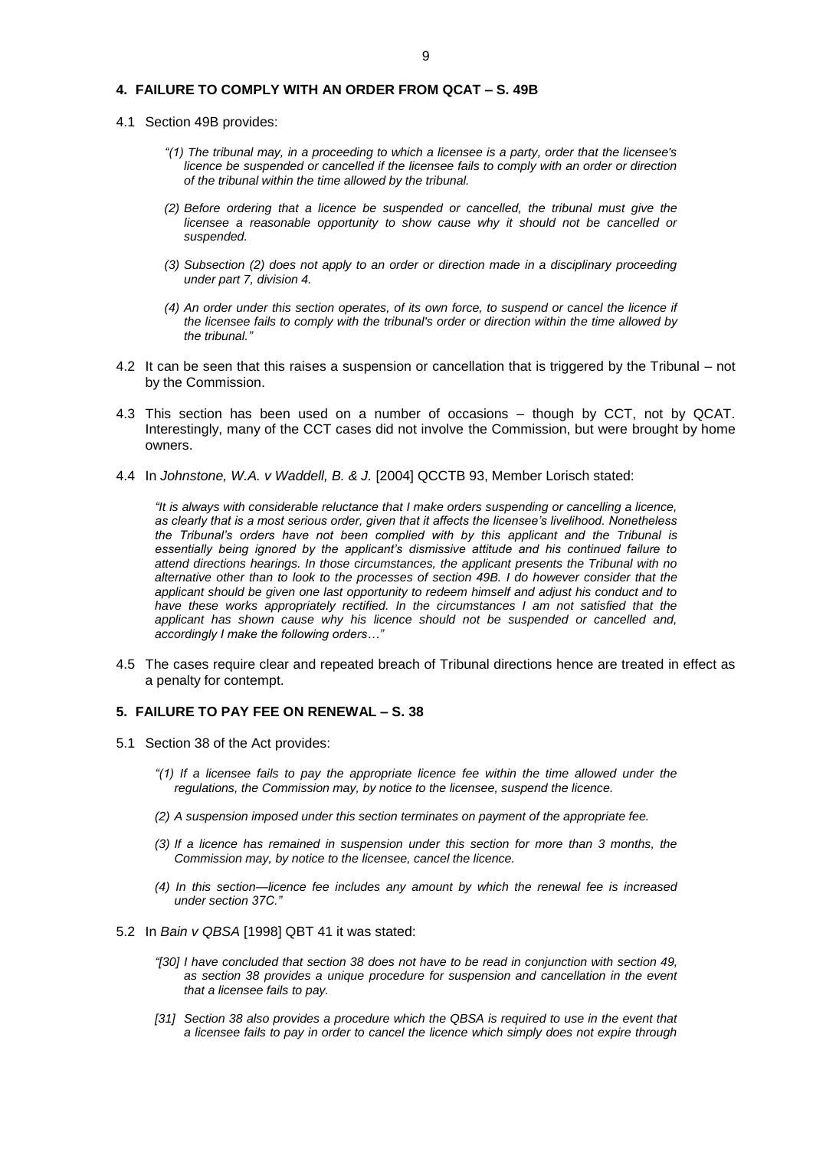#### **4. FAILURE TO COMPLY WITH AN ORDER FROM QCAT – S. 49B**

- 4.1 Section 49B provides:
	- *"(1) The tribunal may, in a proceeding to which a licensee is a party, order that the licensee's licence be suspended or cancelled if the licensee fails to comply with an order or direction of the tribunal within the time allowed by the tribunal.*
	- *(2) Before ordering that a licence be suspended or cancelled, the tribunal must give the licensee a reasonable opportunity to show cause why it should not be cancelled or suspended.*
	- *(3) Subsection (2) does not apply to an order or direction made in a disciplinary proceeding under part 7, division 4.*
	- *(4) An order under this section operates, of its own force, to suspend or cancel the licence if the licensee fails to comply with the tribunal's order or direction within the time allowed by the tribunal."*
- 4.2 It can be seen that this raises a suspension or cancellation that is triggered by the Tribunal not by the Commission.
- 4.3 This section has been used on a number of occasions though by CCT, not by QCAT. Interestingly, many of the CCT cases did not involve the Commission, but were brought by home owners.
- 4.4 In *Johnstone, W.A. v Waddell, B. & J.* [2004] QCCTB 93, Member Lorisch stated:

*"It is always with considerable reluctance that I make orders suspending or cancelling a licence, as clearly that is a most serious order, given that it affects the licensee's livelihood. Nonetheless the Tribunal's orders have not been complied with by this applicant and the Tribunal is essentially being ignored by the applicant's dismissive attitude and his continued failure to attend directions hearings. In those circumstances, the applicant presents the Tribunal with no alternative other than to look to the processes of [section 49B.](http://www.austlii.edu.au/au/legis/qld/consol_act/qbsaa1991413/s49b.html) I do however consider that the applicant should be given one last opportunity to redeem himself and adjust his conduct and to*  have these works appropriately rectified. In the circumstances I am not satisfied that the *applicant has shown cause why his licence should not be suspended or cancelled and, accordingly I make the following orders…"*

4.5 The cases require clear and repeated breach of Tribunal directions hence are treated in effect as a penalty for contempt.

#### **5. FAILURE TO PAY FEE ON RENEWAL – S. 38**

- 5.1 Section 38 of the Act provides:
	- *"(1) If a licensee fails to pay the appropriate licence fee within the time allowed under the regulations, the Commission may, by notice to the licensee, suspend the licence.*
	- *(2) A suspension imposed under this section terminates on payment of the appropriate fee.*
	- *(3) If a licence has remained in suspension under this section for more than 3 months, the Commission may, by notice to the licensee, cancel the licence.*
	- *(4) In this section—licence fee includes any amount by which the renewal fee is increased under section 37C."*
- 5.2 In *Bain v QBSA* [1998] QBT 41 it was stated:
	- *"[30] I have concluded that [section 38](http://www.austlii.edu.au/au/legis/qld/consol_act/qbsaa1991413/s38.html) does not have to be read in conjunction with [section 49,](http://www.austlii.edu.au/au/legis/qld/consol_act/qbsaa1991413/s49.html) as [section 38](http://www.austlii.edu.au/au/legis/qld/consol_act/qbsaa1991413/s38.html) provides a unique procedure for suspension and cancellation in the event that a licensee fails to pay.*
	- *[31] [Section 38](http://www.austlii.edu.au/au/legis/qld/consol_act/qbsaa1991413/s38.html) also provides a procedure which the QBSA is required to use in the event that a licensee fails to pay in order to cancel the licence which simply does not expire through*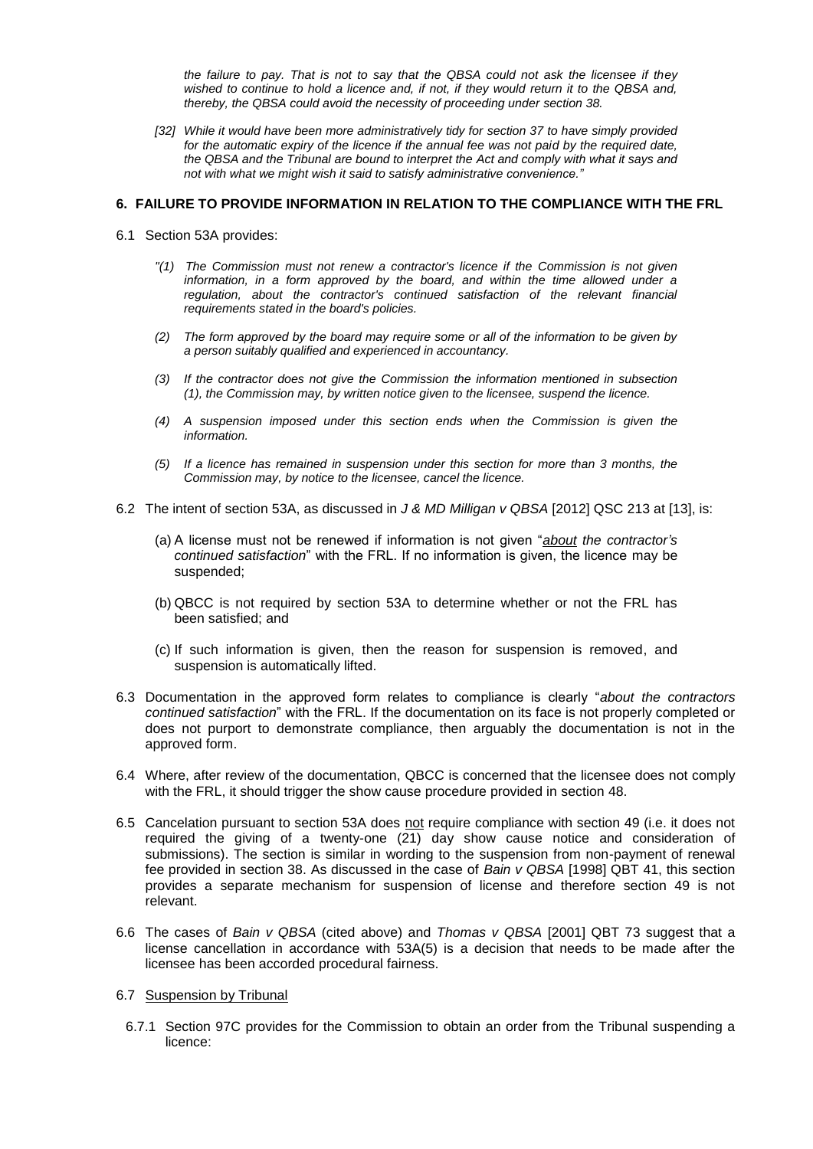*the failure to pay. That is not to say that the QBSA could not ask the licensee if they wished to continue to hold a licence and, if not, if they would return it to the QBSA and, thereby, the QBSA could avoid the necessity of proceeding under [section 38.](http://www.austlii.edu.au/au/legis/qld/consol_act/qbsaa1991413/s38.html)*

*[32] While it would have been more administratively tidy for [section 37](http://www.austlii.edu.au/au/legis/qld/consol_act/qbsaa1991413/s37.html) to have simply provided*  for the automatic expiry of the licence if the annual fee was not paid by the required date. *the QBSA and the Tribunal are bound to interpret the [Act](http://www.austlii.edu.au/au/legis/qld/consol_act/qbsaa1991413/) and comply with what it says and not with what we might wish it said to satisfy administrative convenience."*

#### **6. FAILURE TO PROVIDE INFORMATION IN RELATION TO THE COMPLIANCE WITH THE FRL**

- 6.1 Section 53A provides:
	- *"(1) The Commission must not renew a contractor's licence if the Commission is not given information, in a form approved by the board, and within the time allowed under a regulation, about the contractor's continued satisfaction of the relevant financial requirements stated in the board's policies.*
	- *(2) The form approved by the board may require some or all of the information to be given by a person suitably qualified and experienced in accountancy.*
	- *(3) If the contractor does not give the Commission the information mentioned in subsection (1), the Commission may, by written notice given to the licensee, suspend the licence.*
	- *(4) A suspension imposed under this section ends when the Commission is given the information.*
	- *(5) If a licence has remained in suspension under this section for more than 3 months, the Commission may, by notice to the licensee, cancel the licence.*
- 6.2 The intent of section 53A, as discussed in *J & MD Milligan v QBSA* [2012] QSC 213 at [13], is:
	- (a) A license must not be renewed if information is not given "*about the contractor's continued satisfaction*" with the FRL. If no information is given, the licence may be suspended;
	- (b) QBCC is not required by section 53A to determine whether or not the FRL has been satisfied; and
	- (c) If such information is given, then the reason for suspension is removed, and suspension is automatically lifted.
- 6.3 Documentation in the approved form relates to compliance is clearly "*about the contractors continued satisfaction*" with the FRL. If the documentation on its face is not properly completed or does not purport to demonstrate compliance, then arguably the documentation is not in the approved form.
- 6.4 Where, after review of the documentation, QBCC is concerned that the licensee does not comply with the FRL, it should trigger the show cause procedure provided in section 48.
- 6.5 Cancelation pursuant to section 53A does not require compliance with section 49 (i.e. it does not required the giving of a twenty-one (21) day show cause notice and consideration of submissions). The section is similar in wording to the suspension from non-payment of renewal fee provided in section 38. As discussed in the case of *Bain v QBSA* [1998] QBT 41, this section provides a separate mechanism for suspension of license and therefore section 49 is not relevant.
- 6.6 The cases of *Bain v QBSA* (cited above) and *Thomas v QBSA* [2001] QBT 73 suggest that a license cancellation in accordance with 53A(5) is a decision that needs to be made after the licensee has been accorded procedural fairness.
- 6.7 Suspension by Tribunal
	- 6.7.1 Section 97C provides for the Commission to obtain an order from the Tribunal suspending a licence: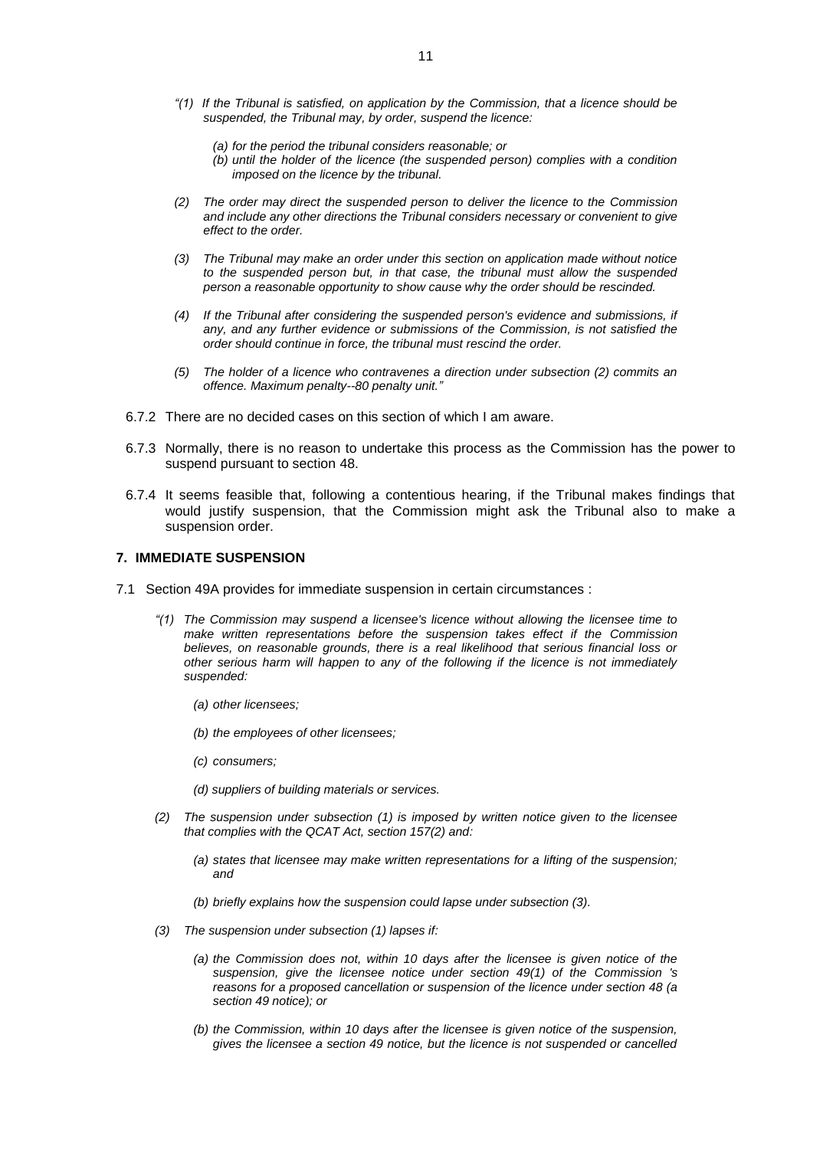- *"(1) If the Tribunal is satisfied, on application by the Commission, that a licence should be suspended, the Tribunal may, by order, suspend the licence:*
	- *(a) for the period the tribunal considers reasonable; or*
	- *(b) until the holder of the licence (the suspended person) complies with a condition imposed on the licence by the tribunal.*
- *(2) The order may direct the suspended person to deliver the licence to the Commission and include any other directions the Tribunal considers necessary or convenient to give effect to the order.*
- *(3) The Tribunal may make an order under this section on application made without notice to the suspended person but, in that case, the tribunal must allow the suspended person a reasonable opportunity to show cause why the order should be rescinded.*
- *(4) If the Tribunal after considering the suspended person's evidence and submissions, if any, and any further evidence or submissions of the Commission, is not satisfied the order should continue in force, the tribunal must rescind the order.*
- *(5) The holder of a licence who contravenes a direction under subsection (2) commits an offence. Maximum penalty--80 penalty unit."*
- 6.7.2 There are no decided cases on this section of which I am aware.
- 6.7.3 Normally, there is no reason to undertake this process as the Commission has the power to suspend pursuant to section 48.
- 6.7.4 It seems feasible that, following a contentious hearing, if the Tribunal makes findings that would justify suspension, that the Commission might ask the Tribunal also to make a suspension order.

#### **7. IMMEDIATE SUSPENSION**

- 7.1 Section 49A provides for immediate suspension in certain circumstances :
	- *"(1) The Commission may suspend a licensee's licence without allowing the licensee time to make written representations before the suspension takes effect if the Commission believes, on reasonable grounds, there is a real likelihood that serious financial loss or other serious harm will happen to any of the following if the licence is not immediately suspended:*
		- *(a) other licensees;*
		- *(b) the employees of other licensees;*
		- *(c) consumers;*
		- *(d) suppliers of building materials or services.*
	- *(2) The suspension under subsection (1) is imposed by written notice given to the licensee that complies with the QCAT Act, section 157(2) and:*
		- *(a) states that licensee may make written representations for a lifting of the suspension; and*
		- *(b) briefly explains how the suspension could lapse under subsection (3).*
	- *(3) The suspension under subsection (1) lapses if:*
		- *(a) the Commission does not, within 10 days after the licensee is given notice of the suspension, give the licensee notice under section 49(1) of the Commission 's reasons for a proposed cancellation or suspension of the licence under section 48 (a section 49 notice); or*
		- *(b) the Commission, within 10 days after the licensee is given notice of the suspension, gives the licensee a section 49 notice, but the licence is not suspended or cancelled*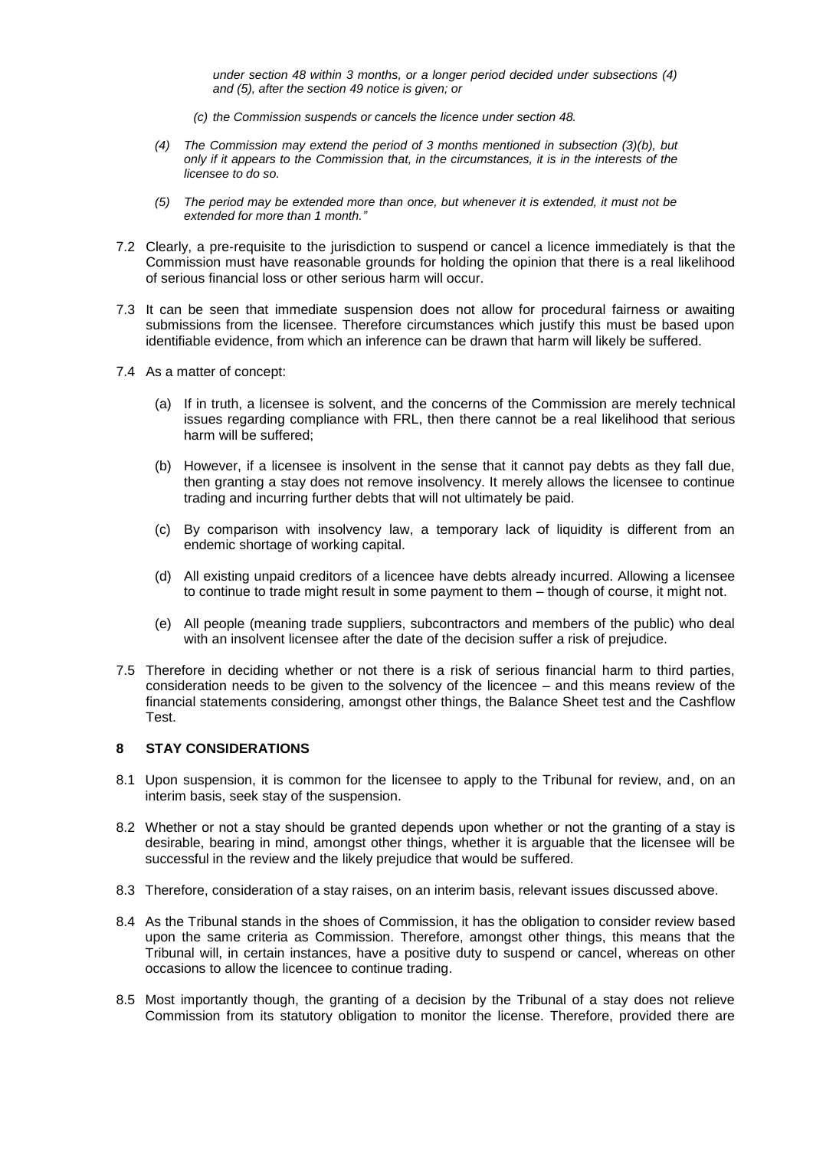*under section 48 within 3 months, or a longer period decided under subsections (4) and (5), after the section 49 notice is given; or* 

- *(c) the Commission suspends or cancels the licence under section 48.*
- *(4) The Commission may extend the period of 3 months mentioned in subsection (3)(b), but only if it appears to the Commission that, in the circumstances, it is in the interests of the licensee to do so.*
- *(5) The period may be extended more than once, but whenever it is extended, it must not be extended for more than 1 month."*
- 7.2 Clearly, a pre-requisite to the jurisdiction to suspend or cancel a licence immediately is that the Commission must have reasonable grounds for holding the opinion that there is a real likelihood of serious financial loss or other serious harm will occur.
- 7.3 It can be seen that immediate suspension does not allow for procedural fairness or awaiting submissions from the licensee. Therefore circumstances which justify this must be based upon identifiable evidence, from which an inference can be drawn that harm will likely be suffered.
- 7.4 As a matter of concept:
	- (a) If in truth, a licensee is solvent, and the concerns of the Commission are merely technical issues regarding compliance with FRL, then there cannot be a real likelihood that serious harm will be suffered;
	- (b) However, if a licensee is insolvent in the sense that it cannot pay debts as they fall due, then granting a stay does not remove insolvency. It merely allows the licensee to continue trading and incurring further debts that will not ultimately be paid.
	- (c) By comparison with insolvency law, a temporary lack of liquidity is different from an endemic shortage of working capital.
	- (d) All existing unpaid creditors of a licencee have debts already incurred. Allowing a licensee to continue to trade might result in some payment to them – though of course, it might not.
	- (e) All people (meaning trade suppliers, subcontractors and members of the public) who deal with an insolvent licensee after the date of the decision suffer a risk of prejudice.
- 7.5 Therefore in deciding whether or not there is a risk of serious financial harm to third parties, consideration needs to be given to the solvency of the licencee – and this means review of the financial statements considering, amongst other things, the Balance Sheet test and the Cashflow Test.

## **8 STAY CONSIDERATIONS**

- 8.1 Upon suspension, it is common for the licensee to apply to the Tribunal for review, and, on an interim basis, seek stay of the suspension.
- 8.2 Whether or not a stay should be granted depends upon whether or not the granting of a stay is desirable, bearing in mind, amongst other things, whether it is arguable that the licensee will be successful in the review and the likely prejudice that would be suffered.
- 8.3 Therefore, consideration of a stay raises, on an interim basis, relevant issues discussed above.
- 8.4 As the Tribunal stands in the shoes of Commission, it has the obligation to consider review based upon the same criteria as Commission. Therefore, amongst other things, this means that the Tribunal will, in certain instances, have a positive duty to suspend or cancel, whereas on other occasions to allow the licencee to continue trading.
- 8.5 Most importantly though, the granting of a decision by the Tribunal of a stay does not relieve Commission from its statutory obligation to monitor the license. Therefore, provided there are